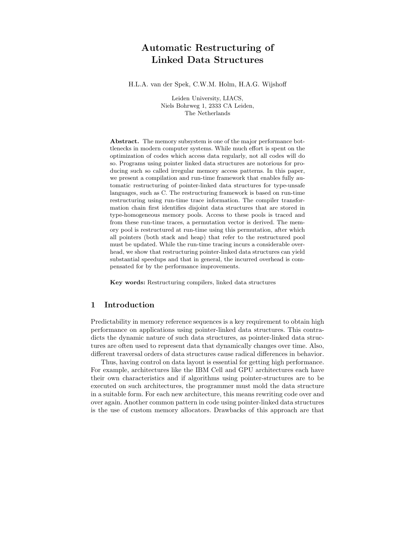# Automatic Restructuring of Linked Data Structures

H.L.A. van der Spek, C.W.M. Holm, H.A.G. Wijshoff

Leiden University, LIACS, Niels Bohrweg 1, 2333 CA Leiden, The Netherlands

Abstract. The memory subsystem is one of the major performance bottlenecks in modern computer systems. While much effort is spent on the optimization of codes which access data regularly, not all codes will do so. Programs using pointer linked data structures are notorious for producing such so called irregular memory access patterns. In this paper, we present a compilation and run-time framework that enables fully automatic restructuring of pointer-linked data structures for type-unsafe languages, such as C. The restructuring framework is based on run-time restructuring using run-time trace information. The compiler transformation chain first identifies disjoint data structures that are stored in type-homogeneous memory pools. Access to these pools is traced and from these run-time traces, a permutation vector is derived. The memory pool is restructured at run-time using this permutation, after which all pointers (both stack and heap) that refer to the restructured pool must be updated. While the run-time tracing incurs a considerable overhead, we show that restructuring pointer-linked data structures can yield substantial speedups and that in general, the incurred overhead is compensated for by the performance improvements.

Key words: Restructuring compilers, linked data structures

### 1 Introduction

Predictability in memory reference sequences is a key requirement to obtain high performance on applications using pointer-linked data structures. This contradicts the dynamic nature of such data structures, as pointer-linked data structures are often used to represent data that dynamically changes over time. Also, different traversal orders of data structures cause radical differences in behavior.

Thus, having control on data layout is essential for getting high performance. For example, architectures like the IBM Cell and GPU architectures each have their own characteristics and if algorithms using pointer-structures are to be executed on such architectures, the programmer must mold the data structure in a suitable form. For each new architecture, this means rewriting code over and over again. Another common pattern in code using pointer-linked data structures is the use of custom memory allocators. Drawbacks of this approach are that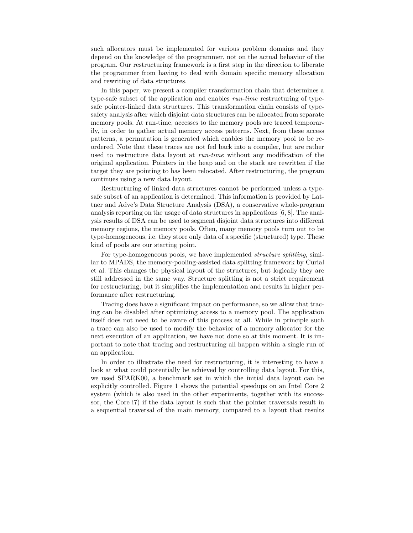such allocators must be implemented for various problem domains and they depend on the knowledge of the programmer, not on the actual behavior of the program. Our restructuring framework is a first step in the direction to liberate the programmer from having to deal with domain specific memory allocation and rewriting of data structures.

In this paper, we present a compiler transformation chain that determines a type-safe subset of the application and enables *run-time* restructuring of typesafe pointer-linked data structures. This transformation chain consists of typesafety analysis after which disjoint data structures can be allocated from separate memory pools. At run-time, accesses to the memory pools are traced temporarily, in order to gather actual memory access patterns. Next, from these access patterns, a permutation is generated which enables the memory pool to be reordered. Note that these traces are not fed back into a compiler, but are rather used to restructure data layout at run-time without any modification of the original application. Pointers in the heap and on the stack are rewritten if the target they are pointing to has been relocated. After restructuring, the program continues using a new data layout.

Restructuring of linked data structures cannot be performed unless a typesafe subset of an application is determined. This information is provided by Lattner and Adve's Data Structure Analysis (DSA), a conservative whole-program analysis reporting on the usage of data structures in applications [6, 8]. The analysis results of DSA can be used to segment disjoint data structures into different memory regions, the memory pools. Often, many memory pools turn out to be type-homogeneous, i.e. they store only data of a specific (structured) type. These kind of pools are our starting point.

For type-homogeneous pools, we have implemented structure splitting, similar to MPADS, the memory-pooling-assisted data splitting framework by Curial et al. This changes the physical layout of the structures, but logically they are still addressed in the same way. Structure splitting is not a strict requirement for restructuring, but it simplifies the implementation and results in higher performance after restructuring.

Tracing does have a significant impact on performance, so we allow that tracing can be disabled after optimizing access to a memory pool. The application itself does not need to be aware of this process at all. While in principle such a trace can also be used to modify the behavior of a memory allocator for the next execution of an application, we have not done so at this moment. It is important to note that tracing and restructuring all happen within a single run of an application.

In order to illustrate the need for restructuring, it is interesting to have a look at what could potentially be achieved by controlling data layout. For this, we used SPARK00, a benchmark set in which the initial data layout can be explicitly controlled. Figure 1 shows the potential speedups on an Intel Core 2 system (which is also used in the other experiments, together with its successor, the Core i7) if the data layout is such that the pointer traversals result in a sequential traversal of the main memory, compared to a layout that results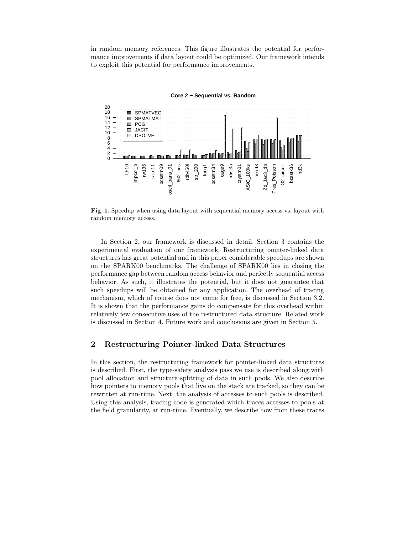in random memory references. This figure illustrates the potential for performance improvements if data layout could be optimized. Our framework intends to exploit this potential for performance improvements.



**Core 2 − Sequential vs. Random**

Fig. 1. Speedup when using data layout with sequential memory access vs. layout with random memory access.

In Section 2, our framework is discussed in detail. Section 3 contains the experimental evaluation of our framework. Restructuring pointer-linked data structures has great potential and in this paper considerable speedups are shown on the SPARK00 benchmarks. The challenge of SPARK00 lies in closing the performance gap between random access behavior and perfectly sequential access behavior. As such, it illustrates the potential, but it does not guarantee that such speedups will be obtained for any application. The overhead of tracing mechanism, which of course does not come for free, is discussed in Section 3.2. It is shown that the performance gains do compensate for this overhead within relatively few consecutive uses of the restructured data structure. Related work is discussed in Section 4. Future work and conclusions are given in Section 5.

# 2 Restructuring Pointer-linked Data Structures

In this section, the restructuring framework for pointer-linked data structures is described. First, the type-safety analysis pass we use is described along with pool allocation and structure splitting of data in such pools. We also describe how pointers to memory pools that live on the stack are tracked, so they can be rewritten at run-time. Next, the analysis of accesses to such pools is described. Using this analysis, tracing code is generated which traces accesses to pools at the field granularity, at run-time. Eventually, we describe how from these traces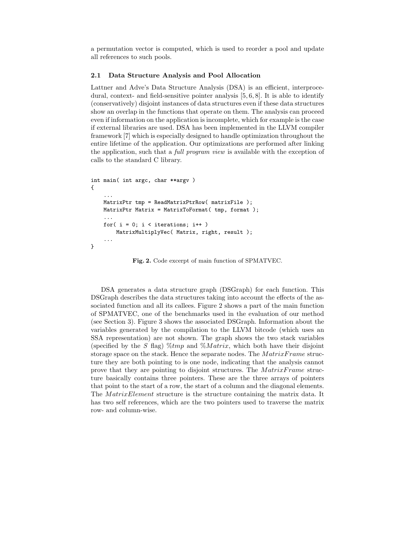a permutation vector is computed, which is used to reorder a pool and update all references to such pools.

#### 2.1 Data Structure Analysis and Pool Allocation

Lattner and Adve's Data Structure Analysis (DSA) is an efficient, interprocedural, context- and field-sensitive pointer analysis [5, 6, 8]. It is able to identify (conservatively) disjoint instances of data structures even if these data structures show an overlap in the functions that operate on them. The analysis can proceed even if information on the application is incomplete, which for example is the case if external libraries are used. DSA has been implemented in the LLVM compiler framework [7] which is especially designed to handle optimization throughout the entire lifetime of the application. Our optimizations are performed after linking the application, such that a full program view is available with the exception of calls to the standard C library.

```
int main( int argc, char **argv )
{
    ...
    MatrixPtr tmp = ReadMatrixPtrRow( matrixFile );
    MatrixPtr Matrix = MatrixToFormat ( tmp, format );
    ...
    for(i = 0; i <iterations; i++)
        MatrixMultiplyVec( Matrix, right, result );
    ...
}
```
Fig. 2. Code excerpt of main function of SPMATVEC.

DSA generates a data structure graph (DSGraph) for each function. This DSGraph describes the data structures taking into account the effects of the associated function and all its callees. Figure 2 shows a part of the main function of SPMATVEC, one of the benchmarks used in the evaluation of our method (see Section 3). Figure 3 shows the associated DSGraph. Information about the variables generated by the compilation to the LLVM bitcode (which uses an SSA representation) are not shown. The graph shows the two stack variables (specified by the S flag)  $\%tmp$  and  $\%Matrix$ , which both have their disjoint storage space on the stack. Hence the separate nodes. The  $MatrixFrame$  structure they are both pointing to is one node, indicating that the analysis cannot prove that they are pointing to disjoint structures. The MatrixFrame structure basically contains three pointers. These are the three arrays of pointers that point to the start of a row, the start of a column and the diagonal elements. The *MatrixElement* structure is the structure containing the matrix data. It has two self references, which are the two pointers used to traverse the matrix row- and column-wise.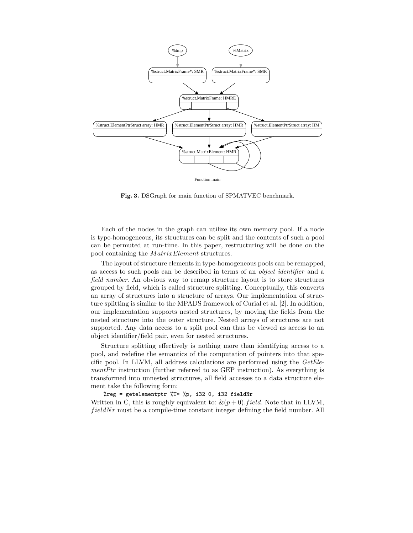

Fig. 3. DSGraph for main function of SPMATVEC benchmark.

Each of the nodes in the graph can utilize its own memory pool. If a node is type-homogeneous, its structures can be split and the contents of such a pool can be permuted at run-time. In this paper, restructuring will be done on the pool containing the MatrixElement structures.

The layout of structure elements in type-homogeneous pools can be remapped, as access to such pools can be described in terms of an object identifier and a field number. An obvious way to remap structure layout is to store structures grouped by field, which is called structure splitting. Conceptually, this converts an array of structures into a structure of arrays. Our implementation of structure splitting is similar to the MPADS framework of Curial et al. [2]. In addition, our implementation supports nested structures, by moving the fields from the nested structure into the outer structure. Nested arrays of structures are not supported. Any data access to a split pool can thus be viewed as access to an object identifier/field pair, even for nested structures.

Structure splitting effectively is nothing more than identifying access to a pool, and redefine the semantics of the computation of pointers into that specific pool. In LLVM, all address calculations are performed using the  $GetEle$ mentPtr instruction (further referred to as GEP instruction). As everything is transformed into unnested structures, all field accesses to a data structure element take the following form:

%reg = getelementptr %T\* %p, i32 0, i32 fieldNr Written in C, this is roughly equivalent to:  $\&(p+0)$ . *field*. Note that in LLVM,  $fieldNr$  must be a compile-time constant integer defining the field number. All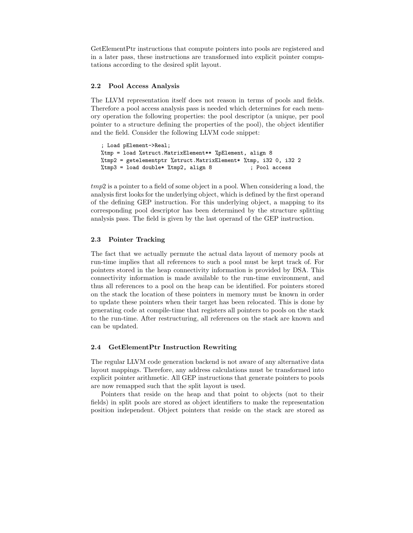GetElementPtr instructions that compute pointers into pools are registered and in a later pass, these instructions are transformed into explicit pointer computations according to the desired split layout.

#### 2.2 Pool Access Analysis

The LLVM representation itself does not reason in terms of pools and fields. Therefore a pool access analysis pass is needed which determines for each memory operation the following properties: the pool descriptor (a unique, per pool pointer to a structure defining the properties of the pool), the object identifier and the field. Consider the following LLVM code snippet:

```
; Load pElement->Real;
%tmp = load %struct.MatrixElement** %pElement, align 8
%tmp2 = getelementptr %struct.MatrixElement* %tmp, i32 0, i32 2
%tmp3 = load double* %tmp2, align 8 ; Pool access
```
 $tmp2$  is a pointer to a field of some object in a pool. When considering a load, the analysis first looks for the underlying object, which is defined by the first operand of the defining GEP instruction. For this underlying object, a mapping to its corresponding pool descriptor has been determined by the structure splitting analysis pass. The field is given by the last operand of the GEP instruction.

#### 2.3 Pointer Tracking

The fact that we actually permute the actual data layout of memory pools at run-time implies that all references to such a pool must be kept track of. For pointers stored in the heap connectivity information is provided by DSA. This connectivity information is made available to the run-time environment, and thus all references to a pool on the heap can be identified. For pointers stored on the stack the location of these pointers in memory must be known in order to update these pointers when their target has been relocated. This is done by generating code at compile-time that registers all pointers to pools on the stack to the run-time. After restructuring, all references on the stack are known and can be updated.

#### 2.4 GetElementPtr Instruction Rewriting

The regular LLVM code generation backend is not aware of any alternative data layout mappings. Therefore, any address calculations must be transformed into explicit pointer arithmetic. All GEP instructions that generate pointers to pools are now remapped such that the split layout is used.

Pointers that reside on the heap and that point to objects (not to their fields) in split pools are stored as object identifiers to make the representation position independent. Object pointers that reside on the stack are stored as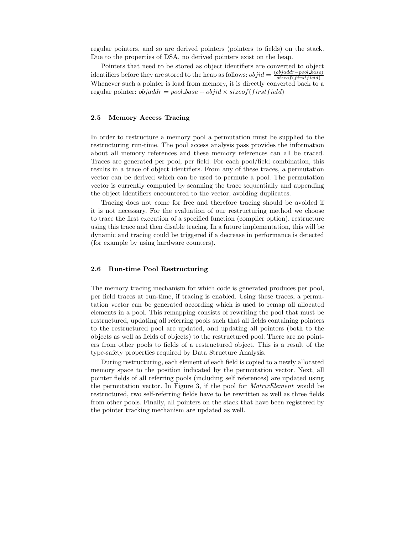regular pointers, and so are derived pointers (pointers to fields) on the stack. Due to the properties of DSA, no derived pointers exist on the heap.

Pointers that need to be stored as object identifiers are converted to object identifiers before they are stored to the heap as follows:  $objid = \frac{(objaddr-pool\_base)}{sizeof(firstfield)}$ sizeof(firstfield) Whenever such a pointer is load from memory, it is directly converted back to a regular pointer:  $objaddr = pool base + objid \times sizeof(firstfield)$ 

#### 2.5 Memory Access Tracing

In order to restructure a memory pool a permutation must be supplied to the restructuring run-time. The pool access analysis pass provides the information about all memory references and these memory references can all be traced. Traces are generated per pool, per field. For each pool/field combination, this results in a trace of object identifiers. From any of these traces, a permutation vector can be derived which can be used to permute a pool. The permutation vector is currently computed by scanning the trace sequentially and appending the object identifiers encountered to the vector, avoiding duplicates.

Tracing does not come for free and therefore tracing should be avoided if it is not necessary. For the evaluation of our restructuring method we choose to trace the first execution of a specified function (compiler option), restructure using this trace and then disable tracing. In a future implementation, this will be dynamic and tracing could be triggered if a decrease in performance is detected (for example by using hardware counters).

#### 2.6 Run-time Pool Restructuring

The memory tracing mechanism for which code is generated produces per pool, per field traces at run-time, if tracing is enabled. Using these traces, a permutation vector can be generated according which is used to remap all allocated elements in a pool. This remapping consists of rewriting the pool that must be restructured, updating all referring pools such that all fields containing pointers to the restructured pool are updated, and updating all pointers (both to the objects as well as fields of objects) to the restructured pool. There are no pointers from other pools to fields of a restructured object. This is a result of the type-safety properties required by Data Structure Analysis.

During restructuring, each element of each field is copied to a newly allocated memory space to the position indicated by the permutation vector. Next, all pointer fields of all referring pools (including self references) are updated using the permutation vector. In Figure 3, if the pool for MatrixElement would be restructured, two self-referring fields have to be rewritten as well as three fields from other pools. Finally, all pointers on the stack that have been registered by the pointer tracking mechanism are updated as well.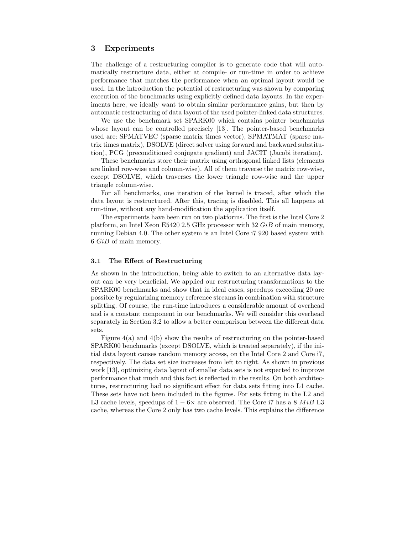## 3 Experiments

The challenge of a restructuring compiler is to generate code that will automatically restructure data, either at compile- or run-time in order to achieve performance that matches the performance when an optimal layout would be used. In the introduction the potential of restructuring was shown by comparing execution of the benchmarks using explicitly defined data layouts. In the experiments here, we ideally want to obtain similar performance gains, but then by automatic restructuring of data layout of the used pointer-linked data structures.

We use the benchmark set SPARK00 which contains pointer benchmarks whose layout can be controlled precisely [13]. The pointer-based benchmarks used are: SPMATVEC (sparse matrix times vector), SPMATMAT (sparse matrix times matrix), DSOLVE (direct solver using forward and backward substitution), PCG (preconditioned conjugate gradient) and JACIT (Jacobi iteration).

These benchmarks store their matrix using orthogonal linked lists (elements are linked row-wise and column-wise). All of them traverse the matrix row-wise, except DSOLVE, which traverses the lower triangle row-wise and the upper triangle column-wise.

For all benchmarks, one iteration of the kernel is traced, after which the data layout is restructured. After this, tracing is disabled. This all happens at run-time, without any hand-modification the application itself.

The experiments have been run on two platforms. The first is the Intel Core 2 platform, an Intel Xeon E5420 2.5 GHz processor with 32  $GiB$  of main memory, running Debian 4.0. The other system is an Intel Core i7 920 based system with 6 GiB of main memory.

#### 3.1 The Effect of Restructuring

As shown in the introduction, being able to switch to an alternative data layout can be very beneficial. We applied our restructuring transformations to the SPARK00 benchmarks and show that in ideal cases, speedups exceeding 20 are possible by regularizing memory reference streams in combination with structure splitting. Of course, the run-time introduces a considerable amount of overhead and is a constant component in our benchmarks. We will consider this overhead separately in Section 3.2 to allow a better comparison between the different data sets.

Figure  $4(a)$  and  $4(b)$  show the results of restructuring on the pointer-based SPARK00 benchmarks (except DSOLVE, which is treated separately), if the initial data layout causes random memory access, on the Intel Core 2 and Core i7, respectively. The data set size increases from left to right. As shown in previous work [13], optimizing data layout of smaller data sets is not expected to improve performance that much and this fact is reflected in the results. On both architectures, restructuring had no significant effect for data sets fitting into L1 cache. These sets have not been included in the figures. For sets fitting in the L2 and L3 cache levels, speedups of  $1 - 6 \times$  are observed. The Core i7 has a 8 MiB L3 cache, whereas the Core 2 only has two cache levels. This explains the difference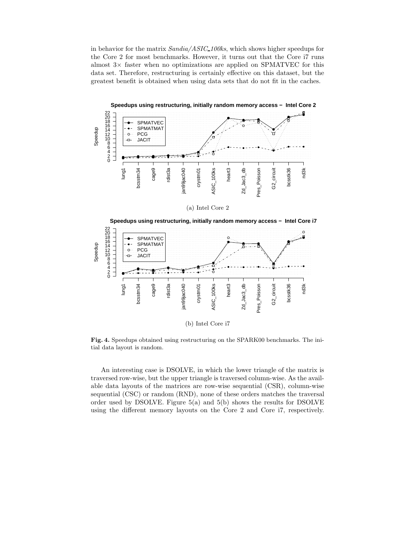in behavior for the matrix Sandia/ASIC 100ks, which shows higher speedups for the Core 2 for most benchmarks. However, it turns out that the Core i7 runs almost  $3\times$  faster when no optimizations are applied on SPMATVEC for this data set. Therefore, restructuring is certainly effective on this dataset, but the greatest benefit is obtained when using data sets that do not fit in the caches.



(a) Intel Core 2



**Speedups using restructuring, initially random memory access − Intel Core i7**

Fig. 4. Speedups obtained using restructuring on the SPARK00 benchmarks. The initial data layout is random.

An interesting case is DSOLVE, in which the lower triangle of the matrix is traversed row-wise, but the upper triangle is traversed column-wise. As the available data layouts of the matrices are row-wise sequential (CSR), column-wise sequential (CSC) or random (RND), none of these orders matches the traversal order used by DSOLVE. Figure 5(a) and 5(b) shows the results for DSOLVE using the different memory layouts on the Core 2 and Core i7, respectively.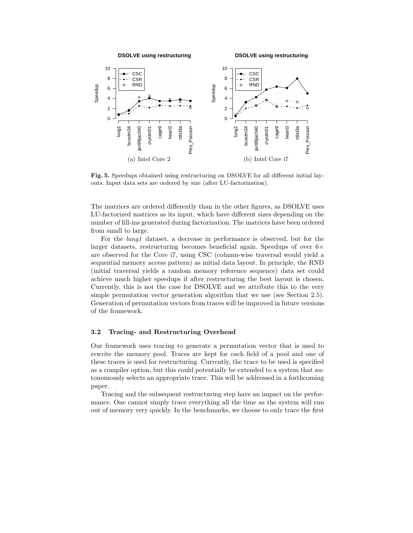**DSOLVE using restructuring**



Fig. 5. Speedups obtained using restructuring on DSOLVE for all different initial layouts. Input data sets are ordered by size (after LU-factorization).

The matrices are ordered differently than in the other figures, as DSOLVE uses LU-factorized matrices as its input, which have different sizes depending on the number of fill-ins generated during factorization. The matrices have been ordered from small to large.

For the lung1 dataset, a decrease in performance is observed, but for the larger datasets, restructuring becomes beneficial again. Speedups of over  $6\times$ are observed for the Core i7, using CSC (column-wise traversal would yield a sequential memory access pattern) as initial data layout. In principle, the RND (initial traversal yields a random memory reference sequence) data set could achieve much higher speedups if after restructuring the best layout is chosen. Currently, this is not the case for DSOLVE and we attribute this to the very simple permutation vector generation algorithm that we use (see Section 2.5). Generation of permutation vectors from traces will be improved in future versions of the framework.

#### 3.2 Tracing- and Restructuring Overhead

Our framework uses tracing to generate a permutation vector that is used to rewrite the memory pool. Traces are kept for each field of a pool and one of these traces is used for restructuring. Currently, the trace to be used is specified as a compiler option, but this could potentially be extended to a system that autonomously selects an appropriate trace. This will be addressed in a forthcoming paper.

Tracing and the subsequent restructuring step have an impact on the performance. One cannot simply trace everything all the time as the system will run out of memory very quickly. In the benchmarks, we choose to only trace the first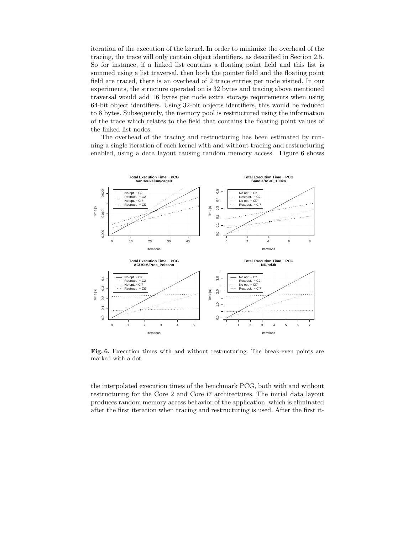iteration of the execution of the kernel. In order to minimize the overhead of the tracing, the trace will only contain object identifiers, as described in Section 2.5. So for instance, if a linked list contains a floating point field and this list is summed using a list traversal, then both the pointer field and the floating point field are traced, there is an overhead of 2 trace entries per node visited. In our experiments, the structure operated on is 32 bytes and tracing above mentioned traversal would add 16 bytes per node extra storage requirements when using 64-bit object identifiers. Using 32-bit objects identifiers, this would be reduced to 8 bytes. Subsequently, the memory pool is restructured using the information of the trace which relates to the field that contains the floating point values of the linked list nodes.

The overhead of the tracing and restructuring has been estimated by running a single iteration of each kernel with and without tracing and restructuring enabled, using a data layout causing random memory access. Figure 6 shows



Fig. 6. Execution times with and without restructuring. The break-even points are marked with a dot.

the interpolated execution times of the benchmark PCG, both with and without restructuring for the Core 2 and Core i7 architectures. The initial data layout produces random memory access behavior of the application, which is eliminated after the first iteration when tracing and restructuring is used. After the first it-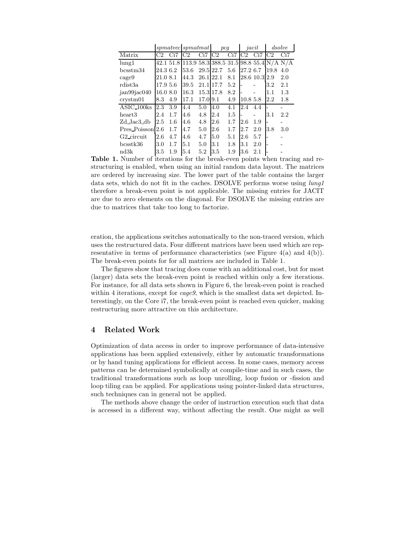|                        |                |     | $spmatvec$ sp $matmat$                            |           | pcq            |     | jacit          |               | dsolve |     |
|------------------------|----------------|-----|---------------------------------------------------|-----------|----------------|-----|----------------|---------------|--------|-----|
| Matrix                 | C <sub>2</sub> | Ci7 | C2                                                | Ci7       | C <sub>2</sub> | Ci7 | C <sub>2</sub> | Ci7           | C2     | Ci7 |
| $\text{lung}1$         |                |     | 42.1 51.8 113.9 58.3 388.5 31.5 98.8 55.4 N/A N/A |           |                |     |                |               |        |     |
| bcsstm34               | 24.3 6.2       |     | 53.6                                              | 29.5 22.7 |                | 5.6 | 27.2 6.7       |               | 19.8   | 4.0 |
| cage9                  | 21.0 8.1       |     | 44.3                                              | 26.122.1  |                | 8.1 |                | 28.6 10.3 2.9 |        | 2.0 |
| rdist3a                | 17.9 5.6       |     | 39.5                                              | 21.1117.7 |                | 5.2 |                |               | 3.2    | 2.1 |
| jan99jac040            | 16.08.0        |     | 16.3                                              |           | 15.3 17.8      | 8.2 |                |               | 1.1    | 1.3 |
| crvstm01               | 8.3            | 4.9 | 17.1                                              | 17.0 9.1  |                | 4.9 | 10.8 5.8       |               | 2.2    | 1.8 |
| ASIC 100ks             | 2.3            | 3.9 | 4.4                                               | 5.0       | 4.0            | 4.1 | 2.4            | 4.4           |        |     |
| heart3                 | 2.4            | 1.7 | 4.6                                               | 4.8       | 2.4            | 1.5 |                |               | 3.1    | 2.2 |
| Zd_Jac3_db             | 2.5            | 1.6 | 4.6                                               | 4.8       | 2.6            | 1.7 | 2.6            | 1.9           |        | ۳   |
| Pres_Poisson 2.6       |                | 1.7 | 4.7                                               | 5.0       | 2.6            | 1.7 | 2.7            | 2.0           | 3.8    | 3.0 |
| G <sub>2</sub> circuit | 2.6            | 4.7 | 4.6                                               | 4.7       | 5.0            | 5.1 | 2.6            | 5.7           |        |     |
| bcsstk36               | 3.0            | 1.7 | 5.1                                               | 5.0       | 3.1            | 1.8 | 3.1            | 2.0           |        |     |
| nd3k                   | 3.5            | 1.9 | 5.4                                               | 5.2       | 3.5            | 1.9 | 3.6            | 2.1           |        |     |

Table 1. Number of iterations for the break-even points when tracing and restructuring is enabled, when using an initial random data layout. The matrices are ordered by increasing size. The lower part of the table contains the larger data sets, which do not fit in the caches. DSOLVE performs worse using lung1 therefore a break-even point is not applicable. The missing entries for JACIT are due to zero elements on the diagonal. For DSOLVE the missing entries are due to matrices that take too long to factorize.

eration, the applications switches automatically to the non-traced version, which uses the restructured data. Four different matrices have been used which are representative in terms of performance characteristics (see Figure  $4(a)$  and  $4(b)$ ). The break-even points for for all matrices are included in Table 1.

The figures show that tracing does come with an additional cost, but for most (larger) data sets the break-even point is reached within only a few iterations. For instance, for all data sets shown in Figure 6, the break-even point is reached within 4 iterations, except for  $caqe9$ , which is the smallest data set depicted. Interestingly, on the Core i7, the break-even point is reached even quicker, making restructuring more attractive on this architecture.

# 4 Related Work

Optimization of data access in order to improve performance of data-intensive applications has been applied extensively, either by automatic transformations or by hand tuning applications for efficient access. In some cases, memory access patterns can be determined symbolically at compile-time and in such cases, the traditional transformations such as loop unrolling, loop fusion or -fission and loop tiling can be applied. For applications using pointer-linked data structures, such techniques can in general not be applied.

The methods above change the order of instruction execution such that data is accessed in a different way, without affecting the result. One might as well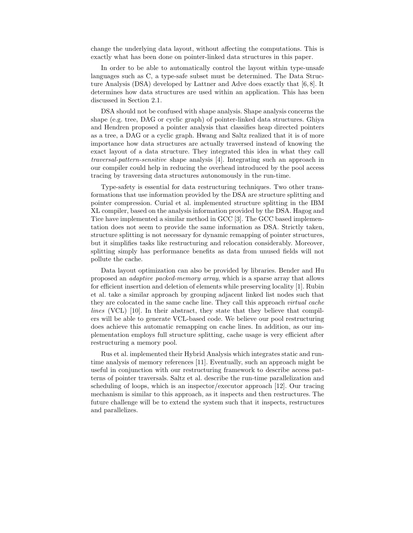change the underlying data layout, without affecting the computations. This is exactly what has been done on pointer-linked data structures in this paper.

In order to be able to automatically control the layout within type-unsafe languages such as C, a type-safe subset must be determined. The Data Structure Analysis (DSA) developed by Lattner and Adve does exactly that [6, 8]. It determines how data structures are used within an application. This has been discussed in Section 2.1.

DSA should not be confused with shape analysis. Shape analysis concerns the shape (e.g. tree, DAG or cyclic graph) of pointer-linked data structures. Ghiya and Hendren proposed a pointer analysis that classifies heap directed pointers as a tree, a DAG or a cyclic graph. Hwang and Saltz realized that it is of more importance how data structures are actually traversed instead of knowing the exact layout of a data structure. They integrated this idea in what they call traversal-pattern-sensitive shape analysis [4]. Integrating such an approach in our compiler could help in reducing the overhead introduced by the pool access tracing by traversing data structures autonomously in the run-time.

Type-safety is essential for data restructuring techniques. Two other transformations that use information provided by the DSA are structure splitting and pointer compression. Curial et al. implemented structure splitting in the IBM XL compiler, based on the analysis information provided by the DSA. Hagog and Tice have implemented a similar method in GCC [3]. The GCC based implementation does not seem to provide the same information as DSA. Strictly taken, structure splitting is not necessary for dynamic remapping of pointer structures, but it simplifies tasks like restructuring and relocation considerably. Moreover, splitting simply has performance benefits as data from unused fields will not pollute the cache.

Data layout optimization can also be provided by libraries. Bender and Hu proposed an adaptive packed-memory array, which is a sparse array that allows for efficient insertion and deletion of elements while preserving locality [1]. Rubin et al. take a similar approach by grouping adjacent linked list nodes such that they are colocated in the same cache line. They call this approach virtual cache lines (VCL) [10]. In their abstract, they state that they believe that compilers will be able to generate VCL-based code. We believe our pool restructuring does achieve this automatic remapping on cache lines. In addition, as our implementation employs full structure splitting, cache usage is very efficient after restructuring a memory pool.

Rus et al. implemented their Hybrid Analysis which integrates static and runtime analysis of memory references [11]. Eventually, such an approach might be useful in conjunction with our restructuring framework to describe access patterns of pointer traversals. Saltz et al. describe the run-time parallelization and scheduling of loops, which is an inspector/executor approach [12]. Our tracing mechanism is similar to this approach, as it inspects and then restructures. The future challenge will be to extend the system such that it inspects, restructures and parallelizes.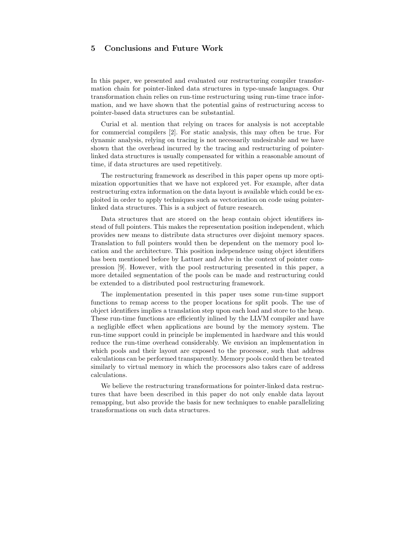# 5 Conclusions and Future Work

In this paper, we presented and evaluated our restructuring compiler transformation chain for pointer-linked data structures in type-unsafe languages. Our transformation chain relies on run-time restructuring using run-time trace information, and we have shown that the potential gains of restructuring access to pointer-based data structures can be substantial.

Curial et al. mention that relying on traces for analysis is not acceptable for commercial compilers [2]. For static analysis, this may often be true. For dynamic analysis, relying on tracing is not necessarily undesirable and we have shown that the overhead incurred by the tracing and restructuring of pointerlinked data structures is usually compensated for within a reasonable amount of time, if data structures are used repetitively.

The restructuring framework as described in this paper opens up more optimization opportunities that we have not explored yet. For example, after data restructuring extra information on the data layout is available which could be exploited in order to apply techniques such as vectorization on code using pointerlinked data structures. This is a subject of future research.

Data structures that are stored on the heap contain object identifiers instead of full pointers. This makes the representation position independent, which provides new means to distribute data structures over disjoint memory spaces. Translation to full pointers would then be dependent on the memory pool location and the architecture. This position independence using object identifiers has been mentioned before by Lattner and Adve in the context of pointer compression [9]. However, with the pool restructuring presented in this paper, a more detailed segmentation of the pools can be made and restructuring could be extended to a distributed pool restructuring framework.

The implementation presented in this paper uses some run-time support functions to remap access to the proper locations for split pools. The use of object identifiers implies a translation step upon each load and store to the heap. These run-time functions are efficiently inlined by the LLVM compiler and have a negligible effect when applications are bound by the memory system. The run-time support could in principle be implemented in hardware and this would reduce the run-time overhead considerably. We envision an implementation in which pools and their layout are exposed to the processor, such that address calculations can be performed transparently. Memory pools could then be treated similarly to virtual memory in which the processors also takes care of address calculations.

We believe the restructuring transformations for pointer-linked data restructures that have been described in this paper do not only enable data layout remapping, but also provide the basis for new techniques to enable parallelizing transformations on such data structures.